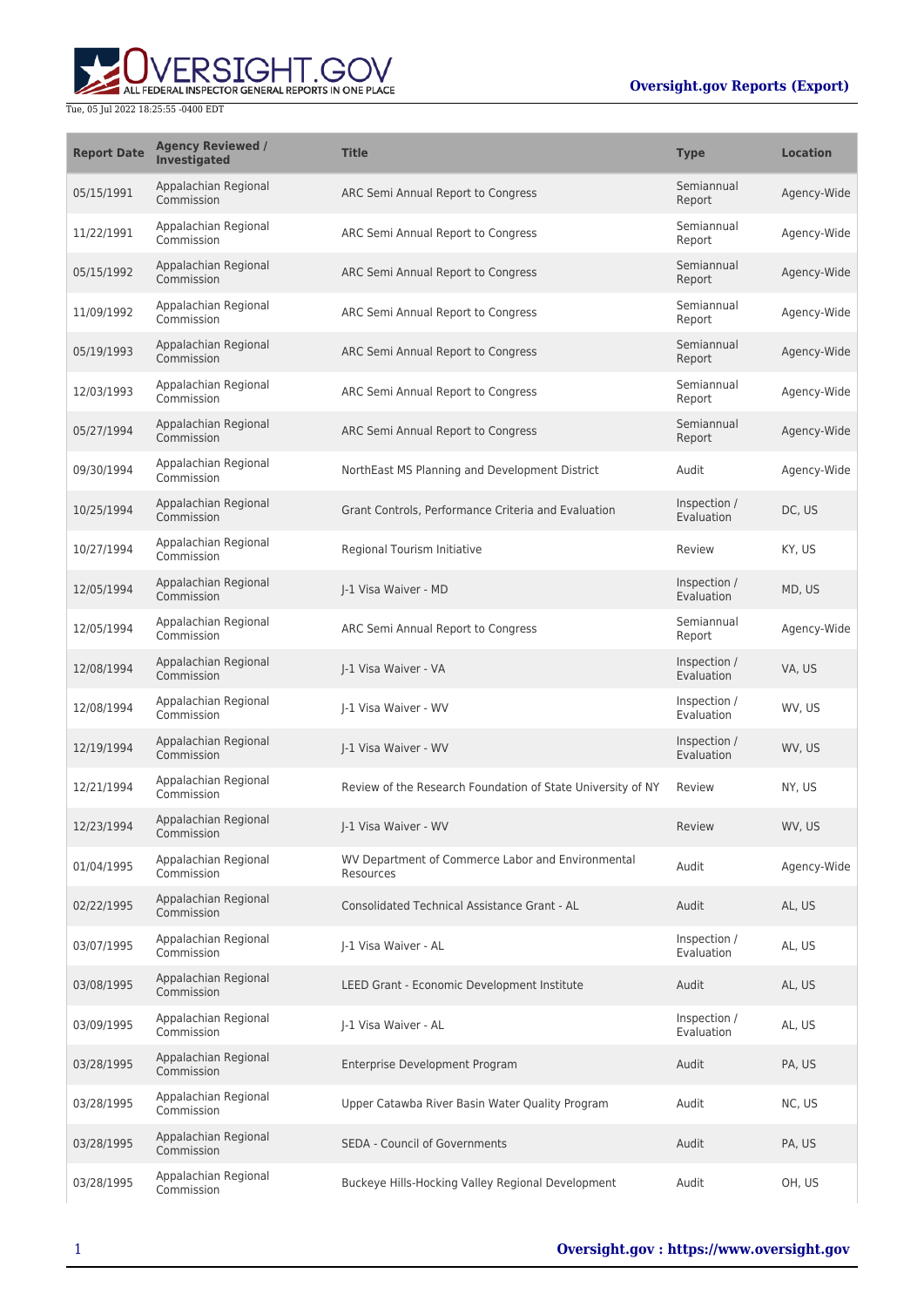

| <b>Report Date</b> | <b>Agency Reviewed /</b><br>Investigated | <b>Title</b>                                                   | <b>Type</b>                | <b>Location</b> |
|--------------------|------------------------------------------|----------------------------------------------------------------|----------------------------|-----------------|
| 05/15/1991         | Appalachian Regional<br>Commission       | ARC Semi Annual Report to Congress                             | Semiannual<br>Report       | Agency-Wide     |
| 11/22/1991         | Appalachian Regional<br>Commission       | ARC Semi Annual Report to Congress                             | Semiannual<br>Report       | Agency-Wide     |
| 05/15/1992         | Appalachian Regional<br>Commission       | ARC Semi Annual Report to Congress                             | Semiannual<br>Report       | Agency-Wide     |
| 11/09/1992         | Appalachian Regional<br>Commission       | ARC Semi Annual Report to Congress                             | Semiannual<br>Report       | Agency-Wide     |
| 05/19/1993         | Appalachian Regional<br>Commission       | ARC Semi Annual Report to Congress                             | Semiannual<br>Report       | Agency-Wide     |
| 12/03/1993         | Appalachian Regional<br>Commission       | ARC Semi Annual Report to Congress                             | Semiannual<br>Report       | Agency-Wide     |
| 05/27/1994         | Appalachian Regional<br>Commission       | ARC Semi Annual Report to Congress                             | Semiannual<br>Report       | Agency-Wide     |
| 09/30/1994         | Appalachian Regional<br>Commission       | NorthEast MS Planning and Development District                 | Audit                      | Agency-Wide     |
| 10/25/1994         | Appalachian Regional<br>Commission       | Grant Controls, Performance Criteria and Evaluation            | Inspection /<br>Evaluation | DC, US          |
| 10/27/1994         | Appalachian Regional<br>Commission       | Regional Tourism Initiative                                    | Review                     | KY, US          |
| 12/05/1994         | Appalachian Regional<br>Commission       | J-1 Visa Waiver - MD                                           | Inspection /<br>Evaluation | MD, US          |
| 12/05/1994         | Appalachian Regional<br>Commission       | ARC Semi Annual Report to Congress                             | Semiannual<br>Report       | Agency-Wide     |
| 12/08/1994         | Appalachian Regional<br>Commission       | J-1 Visa Waiver - VA                                           | Inspection /<br>Evaluation | VA, US          |
| 12/08/1994         | Appalachian Regional<br>Commission       | I-1 Visa Waiver - WV                                           | Inspection /<br>Evaluation | WV, US          |
| 12/19/1994         | Appalachian Regional<br>Commission       | I-1 Visa Waiver - WV                                           | Inspection /<br>Evaluation | WV, US          |
| 12/21/1994         | Appalachian Regional<br>Commission       | Review of the Research Foundation of State University of NY    | Review                     | NY, US          |
| 12/23/1994         | Appalachian Regional<br>Commission       | J-1 Visa Waiver - WV                                           | Review                     | WV, US          |
| 01/04/1995         | Appalachian Regional<br>Commission       | WV Department of Commerce Labor and Environmental<br>Resources | Audit                      | Agency-Wide     |
| 02/22/1995         | Appalachian Regional<br>Commission       | <b>Consolidated Technical Assistance Grant - AL</b>            | Audit                      | AL, US          |
| 03/07/1995         | Appalachian Regional<br>Commission       | I-1 Visa Waiver - AL                                           | Inspection /<br>Evaluation | AL, US          |
| 03/08/1995         | Appalachian Regional<br>Commission       | LEED Grant - Economic Development Institute                    | Audit                      | AL, US          |
| 03/09/1995         | Appalachian Regional<br>Commission       | J-1 Visa Waiver - AL                                           | Inspection /<br>Evaluation | AL, US          |
| 03/28/1995         | Appalachian Regional<br>Commission       | Enterprise Development Program                                 | Audit                      | PA, US          |
| 03/28/1995         | Appalachian Regional<br>Commission       | Upper Catawba River Basin Water Quality Program                | Audit                      | NC, US          |
| 03/28/1995         | Appalachian Regional<br>Commission       | <b>SEDA - Council of Governments</b>                           | Audit                      | PA, US          |
| 03/28/1995         | Appalachian Regional<br>Commission       | Buckeye Hills-Hocking Valley Regional Development              | Audit                      | OH, US          |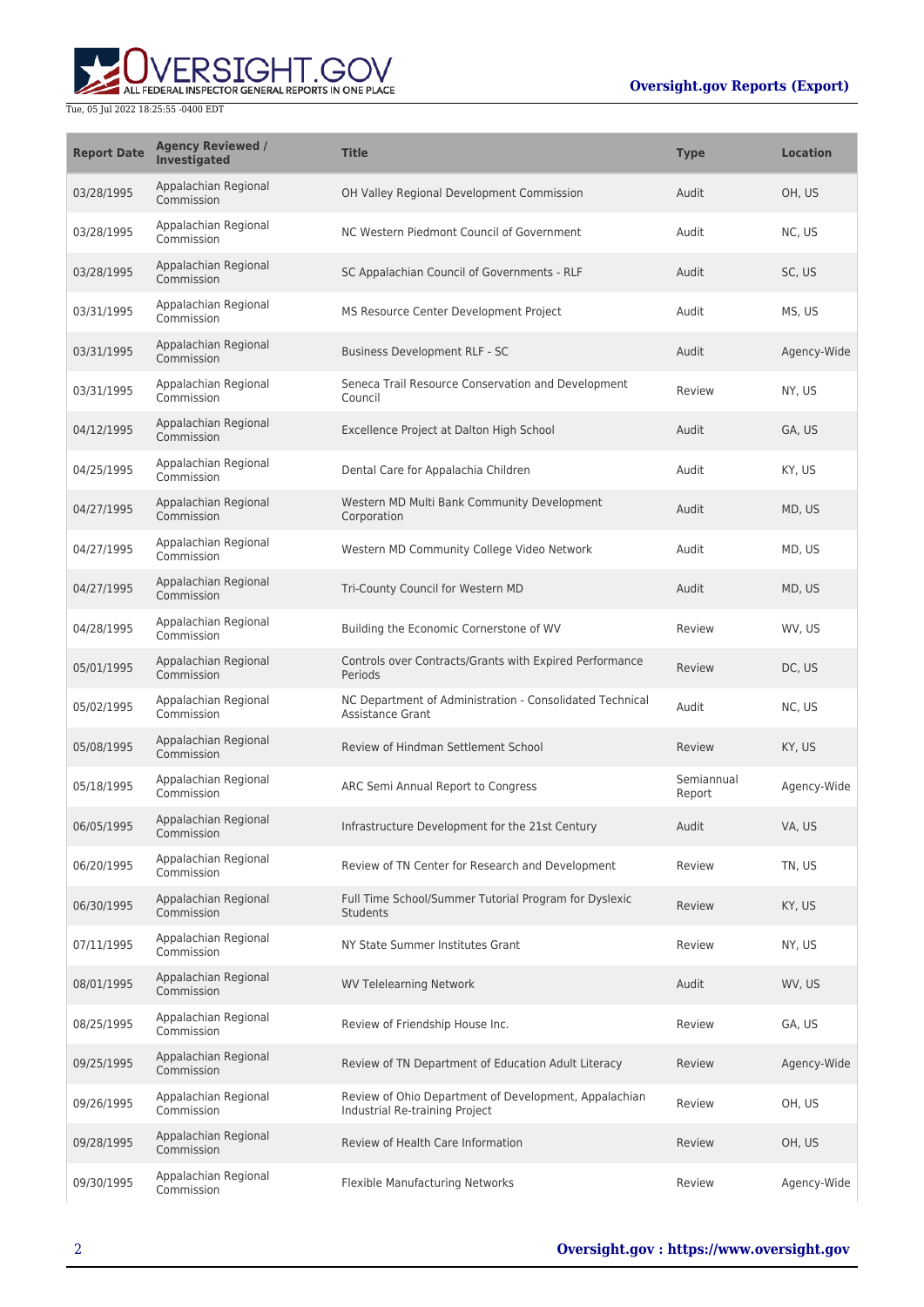| <b>Report Date</b> | <b>Agency Reviewed /</b><br><b>Investigated</b> | <b>Title</b>                                                                            | Type                 | <b>Location</b> |
|--------------------|-------------------------------------------------|-----------------------------------------------------------------------------------------|----------------------|-----------------|
| 03/28/1995         | Appalachian Regional<br>Commission              | OH Valley Regional Development Commission                                               | Audit                | OH, US          |
| 03/28/1995         | Appalachian Regional<br>Commission              | NC Western Piedmont Council of Government                                               | Audit                | NC, US          |
| 03/28/1995         | Appalachian Regional<br>Commission              | SC Appalachian Council of Governments - RLF                                             | Audit                | SC, US          |
| 03/31/1995         | Appalachian Regional<br>Commission              | MS Resource Center Development Project                                                  | Audit                | MS, US          |
| 03/31/1995         | Appalachian Regional<br>Commission              | Business Development RLF - SC                                                           | Audit                | Agency-Wide     |
| 03/31/1995         | Appalachian Regional<br>Commission              | Seneca Trail Resource Conservation and Development<br>Council                           | Review               | NY, US          |
| 04/12/1995         | Appalachian Regional<br>Commission              | Excellence Project at Dalton High School                                                | Audit                | GA, US          |
| 04/25/1995         | Appalachian Regional<br>Commission              | Dental Care for Appalachia Children                                                     | Audit                | KY, US          |
| 04/27/1995         | Appalachian Regional<br>Commission              | Western MD Multi Bank Community Development<br>Corporation                              | Audit                | MD, US          |
| 04/27/1995         | Appalachian Regional<br>Commission              | Western MD Community College Video Network                                              | Audit                | MD, US          |
| 04/27/1995         | Appalachian Regional<br>Commission              | Tri-County Council for Western MD                                                       | Audit                | MD, US          |
| 04/28/1995         | Appalachian Regional<br>Commission              | Building the Economic Cornerstone of WV                                                 | Review               | WV, US          |
| 05/01/1995         | Appalachian Regional<br>Commission              | Controls over Contracts/Grants with Expired Performance<br>Periods                      | Review               | DC, US          |
| 05/02/1995         | Appalachian Regional<br>Commission              | NC Department of Administration - Consolidated Technical<br><b>Assistance Grant</b>     | Audit                | NC, US          |
| 05/08/1995         | Appalachian Regional<br>Commission              | Review of Hindman Settlement School                                                     | Review               | KY, US          |
| 05/18/1995         | Appalachian Regional<br>Commission              | ARC Semi Annual Report to Congress                                                      | Semiannual<br>Report | Agency-Wide     |
| 06/05/1995         | Appalachian Regional<br>Commission              | Infrastructure Development for the 21st Century                                         | Audit                | VA, US          |
| 06/20/1995         | Appalachian Regional<br>Commission              | Review of TN Center for Research and Development                                        | Review               | TN, US          |
| 06/30/1995         | Appalachian Regional<br>Commission              | Full Time School/Summer Tutorial Program for Dyslexic<br><b>Students</b>                | Review               | KY, US          |
| 07/11/1995         | Appalachian Regional<br>Commission              | NY State Summer Institutes Grant                                                        | Review               | NY, US          |
| 08/01/1995         | Appalachian Regional<br>Commission              | <b>WV Telelearning Network</b>                                                          | Audit                | WV, US          |
| 08/25/1995         | Appalachian Regional<br>Commission              | Review of Friendship House Inc.                                                         | Review               | GA, US          |
| 09/25/1995         | Appalachian Regional<br>Commission              | Review of TN Department of Education Adult Literacy                                     | Review               | Agency-Wide     |
| 09/26/1995         | Appalachian Regional<br>Commission              | Review of Ohio Department of Development, Appalachian<br>Industrial Re-training Project | Review               | OH, US          |
| 09/28/1995         | Appalachian Regional<br>Commission              | Review of Health Care Information                                                       | Review               | OH, US          |
| 09/30/1995         | Appalachian Regional<br>Commission              | <b>Flexible Manufacturing Networks</b>                                                  | Review               | Agency-Wide     |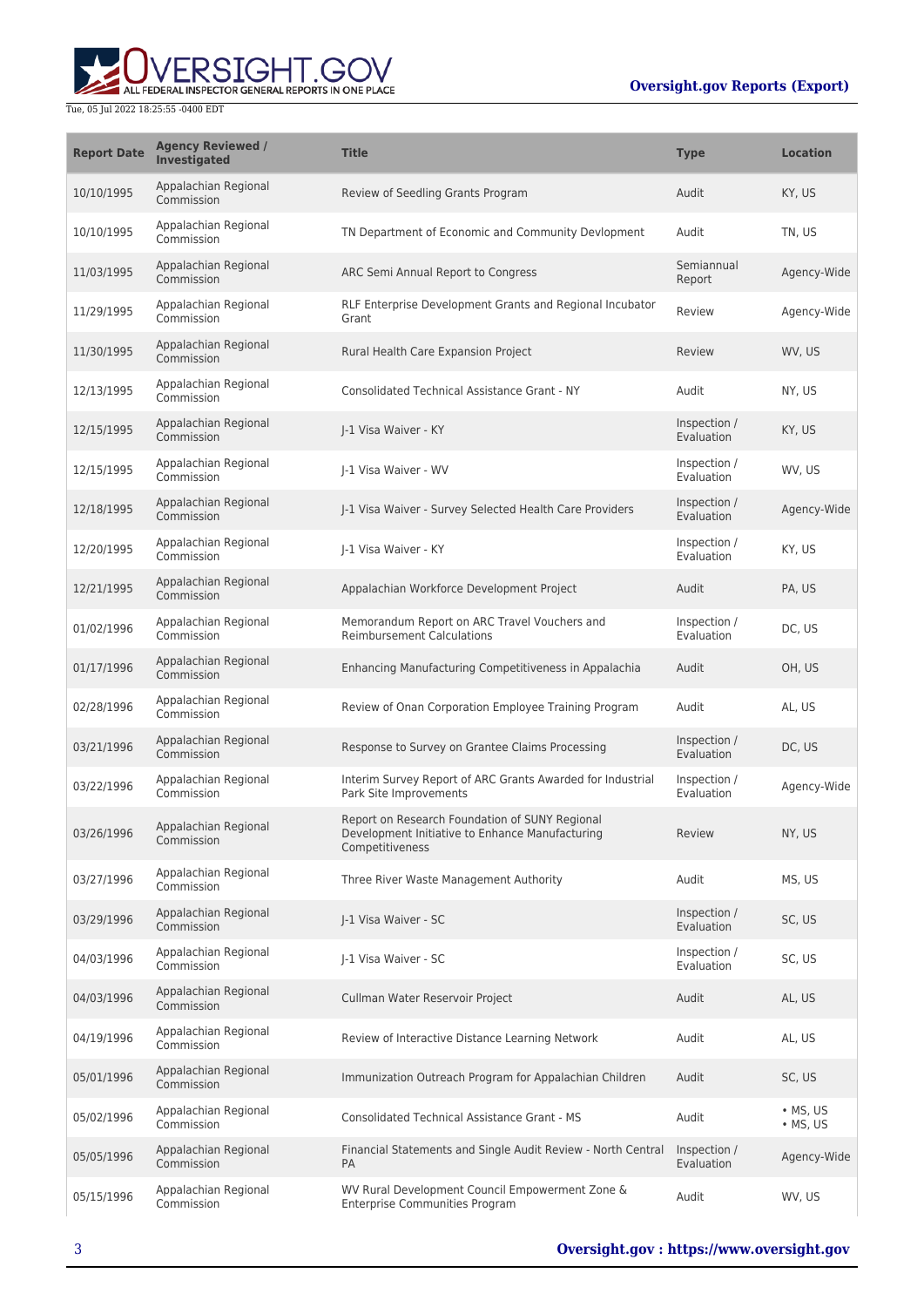| <b>Report Date</b> | <b>Agency Reviewed /</b><br>Investigated | <b>Title</b>                                                                                                         | <b>Type</b>                | <b>Location</b>                      |
|--------------------|------------------------------------------|----------------------------------------------------------------------------------------------------------------------|----------------------------|--------------------------------------|
| 10/10/1995         | Appalachian Regional<br>Commission       | Review of Seedling Grants Program                                                                                    | Audit                      | KY, US                               |
| 10/10/1995         | Appalachian Regional<br>Commission       | TN Department of Economic and Community Devlopment                                                                   | Audit                      | TN, US                               |
| 11/03/1995         | Appalachian Regional<br>Commission       | ARC Semi Annual Report to Congress                                                                                   | Semiannual<br>Report       | Agency-Wide                          |
| 11/29/1995         | Appalachian Regional<br>Commission       | RLF Enterprise Development Grants and Regional Incubator<br>Grant                                                    | Review                     | Agency-Wide                          |
| 11/30/1995         | Appalachian Regional<br>Commission       | Rural Health Care Expansion Project                                                                                  | Review                     | WV, US                               |
| 12/13/1995         | Appalachian Regional<br>Commission       | <b>Consolidated Technical Assistance Grant - NY</b>                                                                  | Audit                      | NY, US                               |
| 12/15/1995         | Appalachian Regional<br>Commission       | I-1 Visa Waiver - KY                                                                                                 | Inspection /<br>Evaluation | KY, US                               |
| 12/15/1995         | Appalachian Regional<br>Commission       | I-1 Visa Waiver - WV                                                                                                 | Inspection /<br>Evaluation | WV, US                               |
| 12/18/1995         | Appalachian Regional<br>Commission       | J-1 Visa Waiver - Survey Selected Health Care Providers                                                              | Inspection /<br>Evaluation | Agency-Wide                          |
| 12/20/1995         | Appalachian Regional<br>Commission       | I-1 Visa Waiver - KY                                                                                                 | Inspection /<br>Evaluation | KY, US                               |
| 12/21/1995         | Appalachian Regional<br>Commission       | Appalachian Workforce Development Project                                                                            | Audit                      | PA, US                               |
| 01/02/1996         | Appalachian Regional<br>Commission       | Memorandum Report on ARC Travel Vouchers and<br><b>Reimbursement Calculations</b>                                    | Inspection /<br>Evaluation | DC, US                               |
| 01/17/1996         | Appalachian Regional<br>Commission       | Enhancing Manufacturing Competitiveness in Appalachia                                                                | Audit                      | OH, US                               |
| 02/28/1996         | Appalachian Regional<br>Commission       | Review of Onan Corporation Employee Training Program                                                                 | Audit                      | AL, US                               |
| 03/21/1996         | Appalachian Regional<br>Commission       | Response to Survey on Grantee Claims Processing                                                                      | Inspection /<br>Evaluation | DC, US                               |
| 03/22/1996         | Appalachian Regional<br>Commission       | Interim Survey Report of ARC Grants Awarded for Industrial<br>Park Site Improvements                                 | Inspection /<br>Evaluation | Agency-Wide                          |
| 03/26/1996         | Appalachian Regional<br>Commission       | Report on Research Foundation of SUNY Regional<br>Development Initiative to Enhance Manufacturing<br>Competitiveness | Review                     | NY, US                               |
| 03/27/1996         | Appalachian Regional<br>Commission       | Three River Waste Management Authority                                                                               | Audit                      | MS, US                               |
| 03/29/1996         | Appalachian Regional<br>Commission       | J-1 Visa Waiver - SC                                                                                                 | Inspection /<br>Evaluation | SC, US                               |
| 04/03/1996         | Appalachian Regional<br>Commission       | J-1 Visa Waiver - SC                                                                                                 | Inspection /<br>Evaluation | SC, US                               |
| 04/03/1996         | Appalachian Regional<br>Commission       | Cullman Water Reservoir Project                                                                                      | Audit                      | AL, US                               |
| 04/19/1996         | Appalachian Regional<br>Commission       | Review of Interactive Distance Learning Network                                                                      | Audit                      | AL, US                               |
| 05/01/1996         | Appalachian Regional<br>Commission       | Immunization Outreach Program for Appalachian Children                                                               | Audit                      | SC, US                               |
| 05/02/1996         | Appalachian Regional<br>Commission       | <b>Consolidated Technical Assistance Grant - MS</b>                                                                  | Audit                      | $\bullet$ MS, US<br>$\bullet$ MS, US |
| 05/05/1996         | Appalachian Regional<br>Commission       | Financial Statements and Single Audit Review - North Central<br>PA                                                   | Inspection /<br>Evaluation | Agency-Wide                          |
| 05/15/1996         | Appalachian Regional<br>Commission       | WV Rural Development Council Empowerment Zone &<br>Enterprise Communities Program                                    | Audit                      | WV, US                               |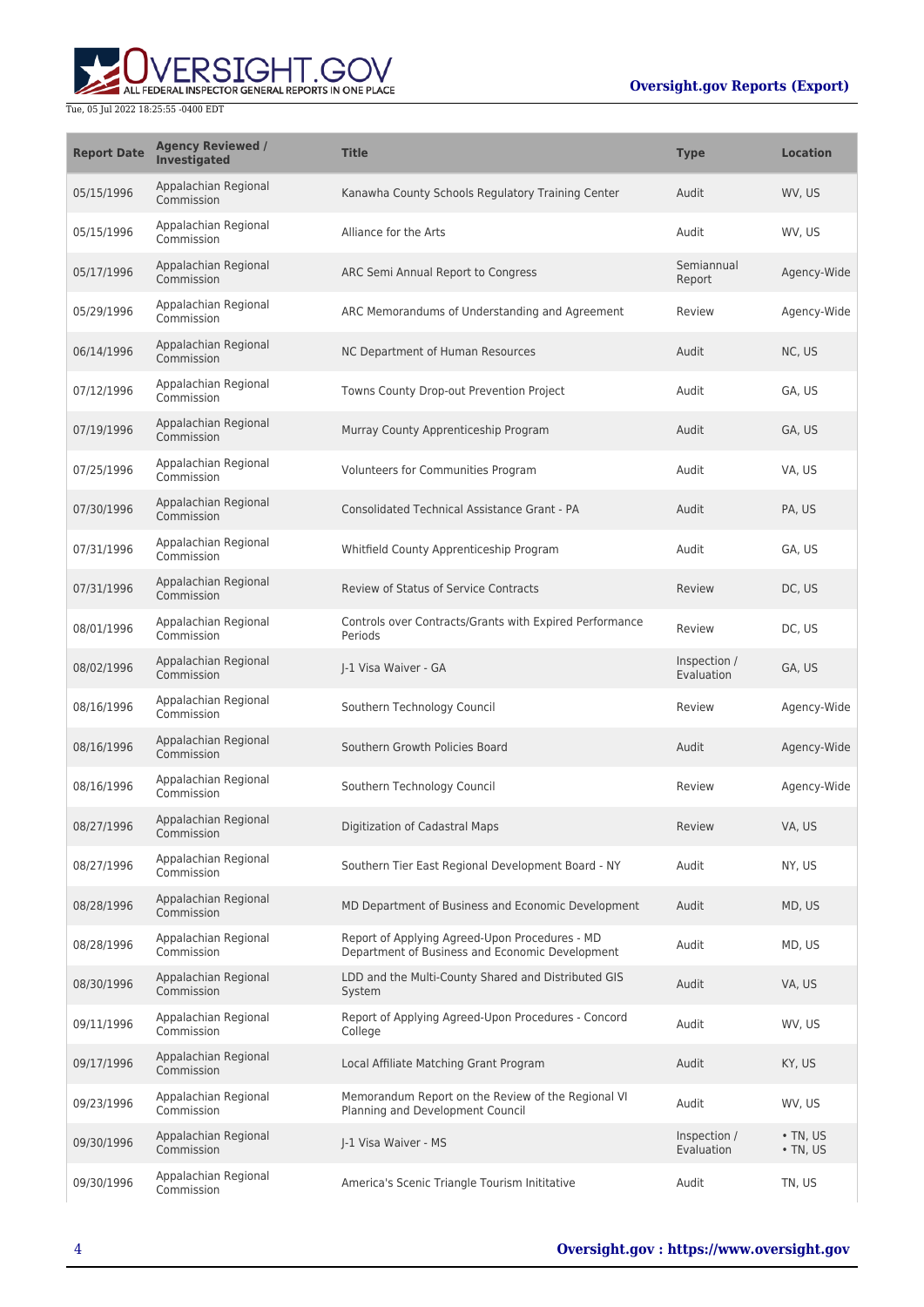| <b>Report Date</b> | <b>Agency Reviewed /</b><br>Investigated | <b>Title</b>                                                                                      | <b>Type</b>                | <b>Location</b>                  |
|--------------------|------------------------------------------|---------------------------------------------------------------------------------------------------|----------------------------|----------------------------------|
| 05/15/1996         | Appalachian Regional<br>Commission       | Kanawha County Schools Regulatory Training Center                                                 | Audit                      | WV, US                           |
| 05/15/1996         | Appalachian Regional<br>Commission       | Alliance for the Arts                                                                             | Audit                      | WV, US                           |
| 05/17/1996         | Appalachian Regional<br>Commission       | ARC Semi Annual Report to Congress                                                                | Semiannual<br>Report       | Agency-Wide                      |
| 05/29/1996         | Appalachian Regional<br>Commission       | ARC Memorandums of Understanding and Agreement                                                    | Review                     | Agency-Wide                      |
| 06/14/1996         | Appalachian Regional<br>Commission       | NC Department of Human Resources                                                                  | Audit                      | NC, US                           |
| 07/12/1996         | Appalachian Regional<br>Commission       | Towns County Drop-out Prevention Project                                                          | Audit                      | GA, US                           |
| 07/19/1996         | Appalachian Regional<br>Commission       | Murray County Apprenticeship Program                                                              | Audit                      | GA, US                           |
| 07/25/1996         | Appalachian Regional<br>Commission       | Volunteers for Communities Program                                                                | Audit                      | VA, US                           |
| 07/30/1996         | Appalachian Regional<br>Commission       | Consolidated Technical Assistance Grant - PA                                                      | Audit                      | PA, US                           |
| 07/31/1996         | Appalachian Regional<br>Commission       | Whitfield County Apprenticeship Program                                                           | Audit                      | GA, US                           |
| 07/31/1996         | Appalachian Regional<br>Commission       | <b>Review of Status of Service Contracts</b>                                                      | Review                     | DC, US                           |
| 08/01/1996         | Appalachian Regional<br>Commission       | Controls over Contracts/Grants with Expired Performance<br>Periods                                | Review                     | DC, US                           |
| 08/02/1996         | Appalachian Regional<br>Commission       | J-1 Visa Waiver - GA                                                                              | Inspection /<br>Evaluation | GA, US                           |
| 08/16/1996         | Appalachian Regional<br>Commission       | Southern Technology Council                                                                       | Review                     | Agency-Wide                      |
| 08/16/1996         | Appalachian Regional<br>Commission       | Southern Growth Policies Board                                                                    | Audit                      | Agency-Wide                      |
| 08/16/1996         | Appalachian Regional<br>Commission       | Southern Technology Council                                                                       | Review                     | Agency-Wide                      |
| 08/27/1996         | Appalachian Regional<br>Commission       | Digitization of Cadastral Maps                                                                    | Review                     | VA, US                           |
| 08/27/1996         | Appalachian Regional<br>Commission       | Southern Tier East Regional Development Board - NY                                                | Audit                      | NY, US                           |
| 08/28/1996         | Appalachian Regional<br>Commission       | MD Department of Business and Economic Development                                                | Audit                      | MD, US                           |
| 08/28/1996         | Appalachian Regional<br>Commission       | Report of Applying Agreed-Upon Procedures - MD<br>Department of Business and Economic Development | Audit                      | MD, US                           |
| 08/30/1996         | Appalachian Regional<br>Commission       | LDD and the Multi-County Shared and Distributed GIS<br>System                                     | Audit                      | VA, US                           |
| 09/11/1996         | Appalachian Regional<br>Commission       | Report of Applying Agreed-Upon Procedures - Concord<br>College                                    | Audit                      | WV, US                           |
| 09/17/1996         | Appalachian Regional<br>Commission       | Local Affiliate Matching Grant Program                                                            | Audit                      | KY, US                           |
| 09/23/1996         | Appalachian Regional<br>Commission       | Memorandum Report on the Review of the Regional VI<br>Planning and Development Council            | Audit                      | WV, US                           |
| 09/30/1996         | Appalachian Regional<br>Commission       | J-1 Visa Waiver - MS                                                                              | Inspection /<br>Evaluation | $\cdot$ TN, US<br>$\cdot$ TN, US |
| 09/30/1996         | Appalachian Regional<br>Commission       | America's Scenic Triangle Tourism Inititative                                                     | Audit                      | TN, US                           |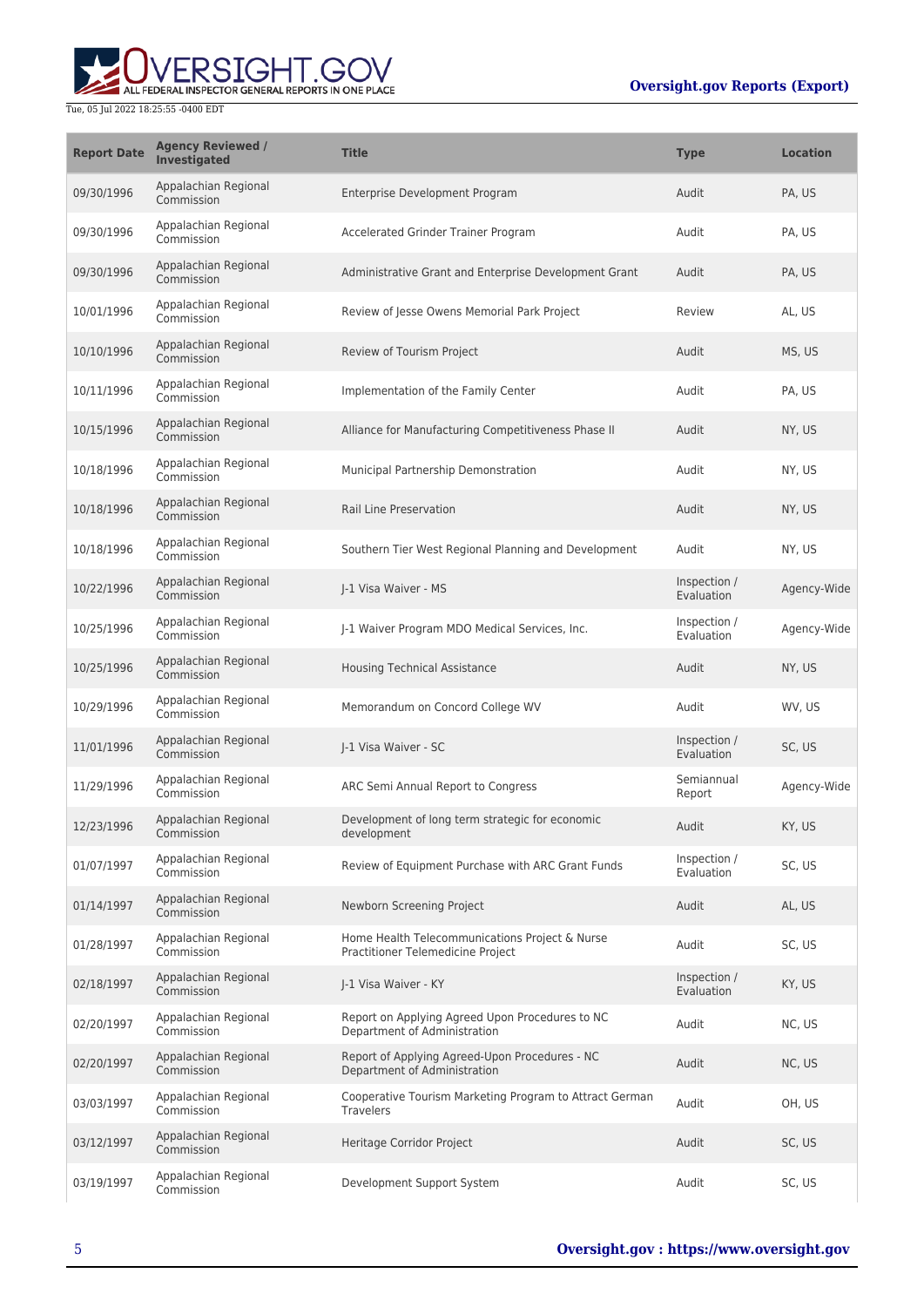

| <b>Report Date</b> | <b>Agency Reviewed /</b><br><b>Investigated</b> | <b>Title</b>                                                                        | <b>Type</b>                | <b>Location</b> |
|--------------------|-------------------------------------------------|-------------------------------------------------------------------------------------|----------------------------|-----------------|
| 09/30/1996         | Appalachian Regional<br>Commission              | Enterprise Development Program                                                      | Audit                      | PA, US          |
| 09/30/1996         | Appalachian Regional<br>Commission              | Accelerated Grinder Trainer Program                                                 | Audit                      | PA, US          |
| 09/30/1996         | Appalachian Regional<br>Commission              | Administrative Grant and Enterprise Development Grant                               | Audit                      | PA, US          |
| 10/01/1996         | Appalachian Regional<br>Commission              | Review of Jesse Owens Memorial Park Project                                         | Review                     | AL, US          |
| 10/10/1996         | Appalachian Regional<br>Commission              | Review of Tourism Project                                                           | Audit                      | MS, US          |
| 10/11/1996         | Appalachian Regional<br>Commission              | Implementation of the Family Center                                                 | Audit                      | PA, US          |
| 10/15/1996         | Appalachian Regional<br>Commission              | Alliance for Manufacturing Competitiveness Phase II                                 | Audit                      | NY, US          |
| 10/18/1996         | Appalachian Regional<br>Commission              | Municipal Partnership Demonstration                                                 | Audit                      | NY, US          |
| 10/18/1996         | Appalachian Regional<br>Commission              | <b>Rail Line Preservation</b>                                                       | Audit                      | NY, US          |
| 10/18/1996         | Appalachian Regional<br>Commission              | Southern Tier West Regional Planning and Development                                | Audit                      | NY, US          |
| 10/22/1996         | Appalachian Regional<br>Commission              | J-1 Visa Waiver - MS                                                                | Inspection /<br>Evaluation | Agency-Wide     |
| 10/25/1996         | Appalachian Regional<br>Commission              | J-1 Waiver Program MDO Medical Services, Inc.                                       | Inspection /<br>Evaluation | Agency-Wide     |
| 10/25/1996         | Appalachian Regional<br>Commission              | Housing Technical Assistance                                                        | Audit                      | NY, US          |
| 10/29/1996         | Appalachian Regional<br>Commission              | Memorandum on Concord College WV                                                    | Audit                      | WV, US          |
| 11/01/1996         | Appalachian Regional<br>Commission              | I-1 Visa Waiver - SC                                                                | Inspection /<br>Evaluation | SC, US          |
| 11/29/1996         | Appalachian Regional<br>Commission              | ARC Semi Annual Report to Congress                                                  | Semiannual<br>Report       | Agency-Wide     |
| 12/23/1996         | Appalachian Regional<br>Commission              | Development of long term strategic for economic<br>development                      | Audit                      | KY, US          |
| 01/07/1997         | Appalachian Regional<br>Commission              | Review of Equipment Purchase with ARC Grant Funds                                   | Inspection /<br>Evaluation | SC, US          |
| 01/14/1997         | Appalachian Regional<br>Commission              | Newborn Screening Project                                                           | Audit                      | AL, US          |
| 01/28/1997         | Appalachian Regional<br>Commission              | Home Health Telecommunications Project & Nurse<br>Practitioner Telemedicine Project | Audit                      | SC, US          |
| 02/18/1997         | Appalachian Regional<br>Commission              | J-1 Visa Waiver - KY                                                                | Inspection /<br>Evaluation | KY, US          |
| 02/20/1997         | Appalachian Regional<br>Commission              | Report on Applying Agreed Upon Procedures to NC<br>Department of Administration     | Audit                      | NC, US          |
| 02/20/1997         | Appalachian Regional<br>Commission              | Report of Applying Agreed-Upon Procedures - NC<br>Department of Administration      | Audit                      | NC, US          |
| 03/03/1997         | Appalachian Regional<br>Commission              | Cooperative Tourism Marketing Program to Attract German<br><b>Travelers</b>         | Audit                      | OH, US          |
| 03/12/1997         | Appalachian Regional<br>Commission              | Heritage Corridor Project                                                           | Audit                      | SC, US          |
| 03/19/1997         | Appalachian Regional<br>Commission              | Development Support System                                                          | Audit                      | SC, US          |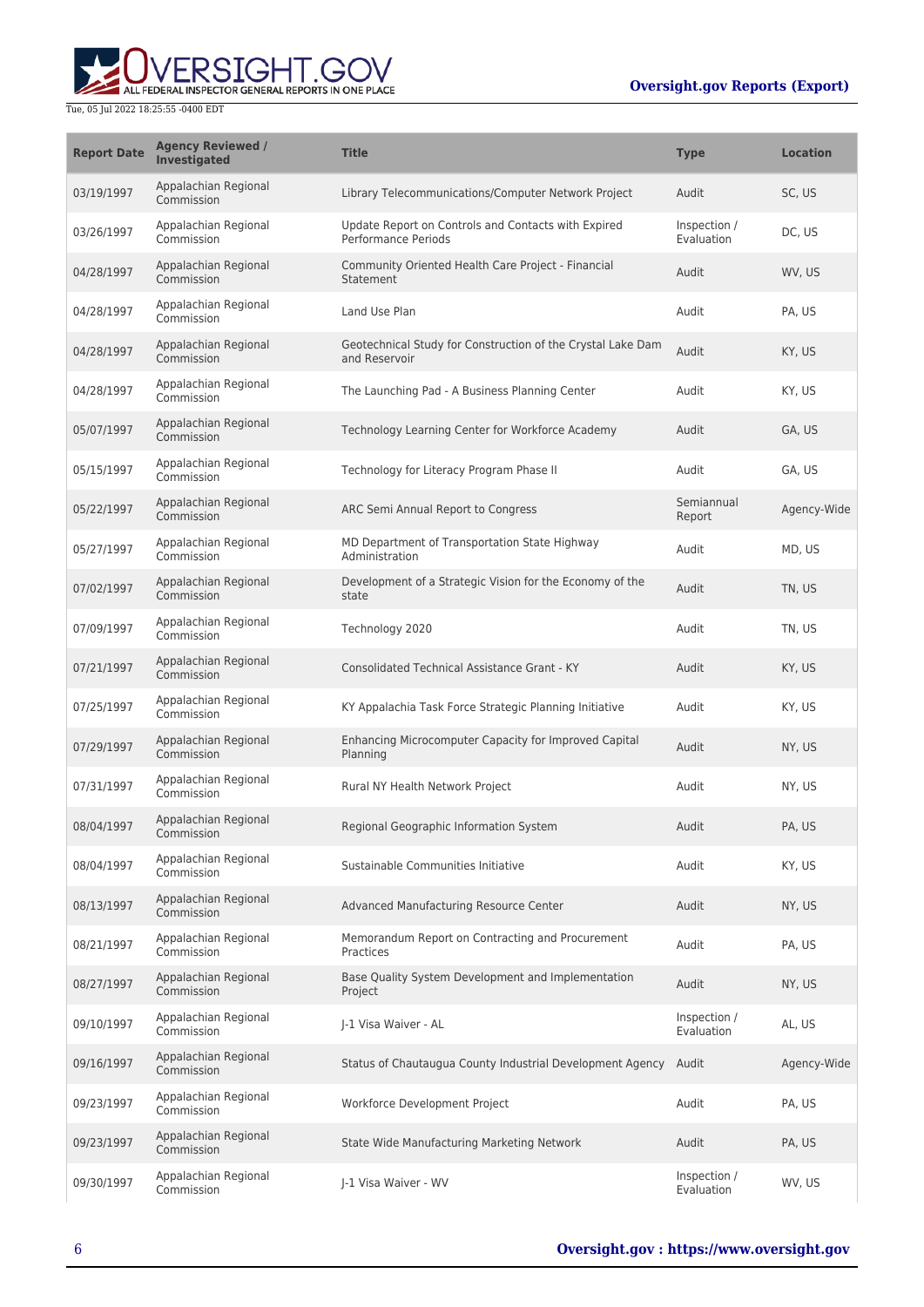

| <b>Report Date</b> | <b>Agency Reviewed /</b><br>Investigated | <b>Title</b>                                                                 | <b>Type</b>                | <b>Location</b> |
|--------------------|------------------------------------------|------------------------------------------------------------------------------|----------------------------|-----------------|
| 03/19/1997         | Appalachian Regional<br>Commission       | Library Telecommunications/Computer Network Project                          | Audit                      | SC, US          |
| 03/26/1997         | Appalachian Regional<br>Commission       | Update Report on Controls and Contacts with Expired<br>Performance Periods   | Inspection /<br>Evaluation | DC, US          |
| 04/28/1997         | Appalachian Regional<br>Commission       | Community Oriented Health Care Project - Financial<br>Statement              | Audit                      | WV, US          |
| 04/28/1997         | Appalachian Regional<br>Commission       | Land Use Plan                                                                | Audit                      | PA, US          |
| 04/28/1997         | Appalachian Regional<br>Commission       | Geotechnical Study for Construction of the Crystal Lake Dam<br>and Reservoir | Audit                      | KY, US          |
| 04/28/1997         | Appalachian Regional<br>Commission       | The Launching Pad - A Business Planning Center                               | Audit                      | KY, US          |
| 05/07/1997         | Appalachian Regional<br>Commission       | Technology Learning Center for Workforce Academy                             | Audit                      | GA, US          |
| 05/15/1997         | Appalachian Regional<br>Commission       | Technology for Literacy Program Phase II                                     | Audit                      | GA, US          |
| 05/22/1997         | Appalachian Regional<br>Commission       | ARC Semi Annual Report to Congress                                           | Semiannual<br>Report       | Agency-Wide     |
| 05/27/1997         | Appalachian Regional<br>Commission       | MD Department of Transportation State Highway<br>Administration              | Audit                      | MD, US          |
| 07/02/1997         | Appalachian Regional<br>Commission       | Development of a Strategic Vision for the Economy of the<br>state            | Audit                      | TN, US          |
| 07/09/1997         | Appalachian Regional<br>Commission       | Technology 2020                                                              | Audit                      | TN, US          |
| 07/21/1997         | Appalachian Regional<br>Commission       | <b>Consolidated Technical Assistance Grant - KY</b>                          | Audit                      | KY, US          |
| 07/25/1997         | Appalachian Regional<br>Commission       | KY Appalachia Task Force Strategic Planning Initiative                       | Audit                      | KY, US          |
| 07/29/1997         | Appalachian Regional<br>Commission       | Enhancing Microcomputer Capacity for Improved Capital<br>Planning            | Audit                      | NY, US          |
| 07/31/1997         | Appalachian Regional<br>Commission       | Rural NY Health Network Project                                              | Audit                      | NY, US          |
| 08/04/1997         | Appalachian Regional<br>Commission       | Regional Geographic Information System                                       | Audit                      | PA, US          |
| 08/04/1997         | Appalachian Regional<br>Commission       | Sustainable Communities Initiative                                           | Audit                      | KY, US          |
| 08/13/1997         | Appalachian Regional<br>Commission       | Advanced Manufacturing Resource Center                                       | Audit                      | NY, US          |
| 08/21/1997         | Appalachian Regional<br>Commission       | Memorandum Report on Contracting and Procurement<br>Practices                | Audit                      | PA, US          |
| 08/27/1997         | Appalachian Regional<br>Commission       | Base Quality System Development and Implementation<br>Project                | Audit                      | NY, US          |
| 09/10/1997         | Appalachian Regional<br>Commission       | J-1 Visa Waiver - AL                                                         | Inspection /<br>Evaluation | AL, US          |
| 09/16/1997         | Appalachian Regional<br>Commission       | Status of Chautaugua County Industrial Development Agency Audit              |                            | Agency-Wide     |
| 09/23/1997         | Appalachian Regional<br>Commission       | Workforce Development Project                                                | Audit                      | PA, US          |
| 09/23/1997         | Appalachian Regional<br>Commission       | State Wide Manufacturing Marketing Network                                   | Audit                      | PA, US          |
| 09/30/1997         | Appalachian Regional<br>Commission       | J-1 Visa Waiver - WV                                                         | Inspection /<br>Evaluation | WV, US          |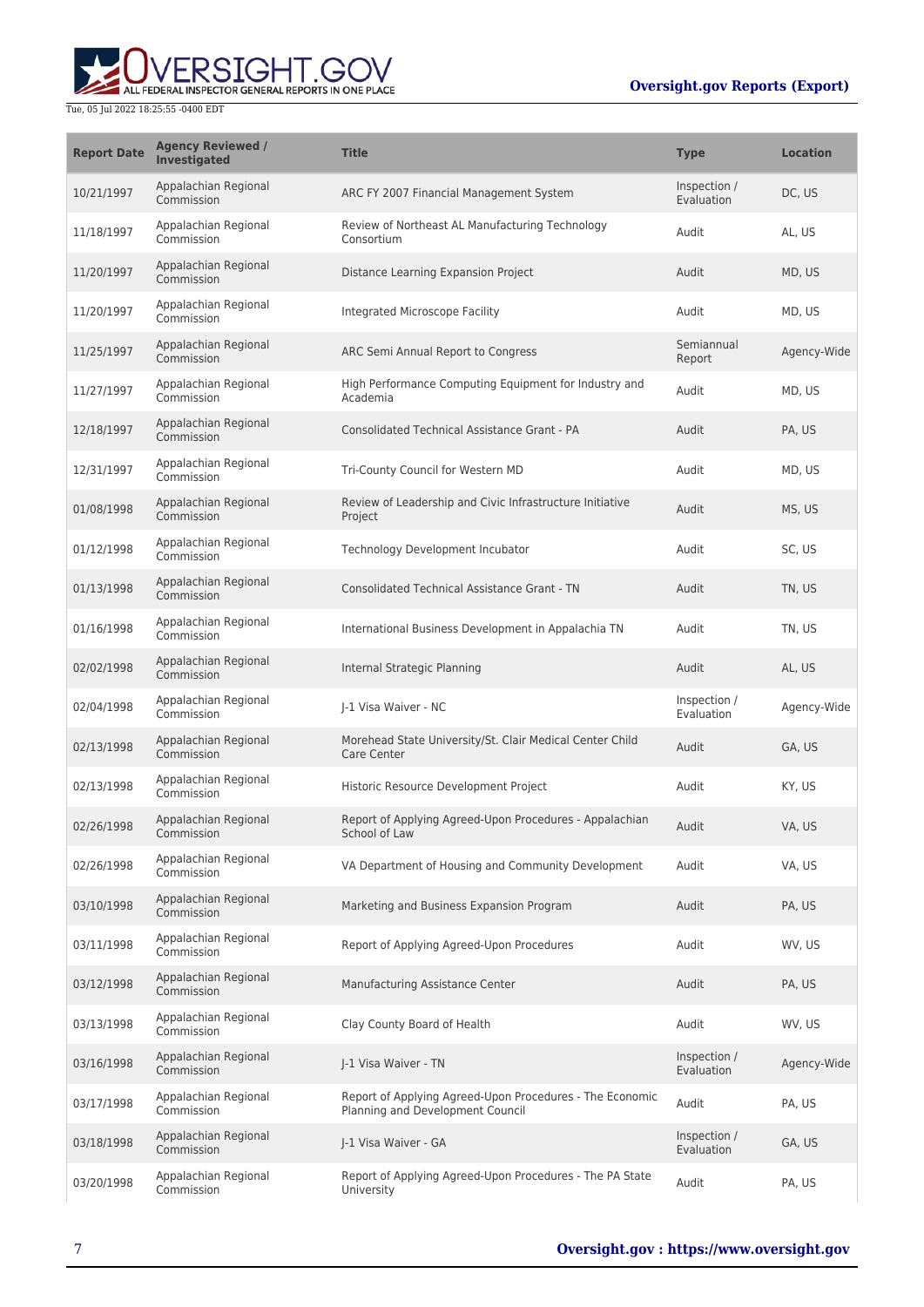

| <b>Report Date</b> | <b>Agency Reviewed /</b><br><b>Investigated</b> | <b>Title</b>                                                                                 | <b>Type</b>                | <b>Location</b> |
|--------------------|-------------------------------------------------|----------------------------------------------------------------------------------------------|----------------------------|-----------------|
| 10/21/1997         | Appalachian Regional<br>Commission              | ARC FY 2007 Financial Management System                                                      | Inspection /<br>Evaluation | DC, US          |
| 11/18/1997         | Appalachian Regional<br>Commission              | Review of Northeast AL Manufacturing Technology<br>Consortium                                | Audit                      | AL, US          |
| 11/20/1997         | Appalachian Regional<br>Commission              | Distance Learning Expansion Project                                                          | Audit                      | MD, US          |
| 11/20/1997         | Appalachian Regional<br>Commission              | Integrated Microscope Facility                                                               | Audit                      | MD, US          |
| 11/25/1997         | Appalachian Regional<br>Commission              | ARC Semi Annual Report to Congress                                                           | Semiannual<br>Report       | Agency-Wide     |
| 11/27/1997         | Appalachian Regional<br>Commission              | High Performance Computing Equipment for Industry and<br>Academia                            | Audit                      | MD, US          |
| 12/18/1997         | Appalachian Regional<br>Commission              | Consolidated Technical Assistance Grant - PA                                                 | Audit                      | PA, US          |
| 12/31/1997         | Appalachian Regional<br>Commission              | Tri-County Council for Western MD                                                            | Audit                      | MD, US          |
| 01/08/1998         | Appalachian Regional<br>Commission              | Review of Leadership and Civic Infrastructure Initiative<br>Project                          | Audit                      | MS, US          |
| 01/12/1998         | Appalachian Regional<br>Commission              | Technology Development Incubator                                                             | Audit                      | SC, US          |
| 01/13/1998         | Appalachian Regional<br>Commission              | <b>Consolidated Technical Assistance Grant - TN</b>                                          | Audit                      | TN, US          |
| 01/16/1998         | Appalachian Regional<br>Commission              | International Business Development in Appalachia TN                                          | Audit                      | TN, US          |
| 02/02/1998         | Appalachian Regional<br>Commission              | Internal Strategic Planning                                                                  | Audit                      | AL, US          |
| 02/04/1998         | Appalachian Regional<br>Commission              | J-1 Visa Waiver - NC                                                                         | Inspection /<br>Evaluation | Agency-Wide     |
| 02/13/1998         | Appalachian Regional<br>Commission              | Morehead State University/St. Clair Medical Center Child<br>Care Center                      | Audit                      | GA, US          |
| 02/13/1998         | Appalachian Regional<br>Commission              | Historic Resource Development Project                                                        | Audit                      | KY, US          |
| 02/26/1998         | Appalachian Regional<br>Commission              | Report of Applying Agreed-Upon Procedures - Appalachian<br>School of Law                     | Audit                      | VA, US          |
| 02/26/1998         | Appalachian Regional<br>Commission              | VA Department of Housing and Community Development                                           | Audit                      | VA, US          |
| 03/10/1998         | Appalachian Regional<br>Commission              | Marketing and Business Expansion Program                                                     | Audit                      | PA, US          |
| 03/11/1998         | Appalachian Regional<br>Commission              | Report of Applying Agreed-Upon Procedures                                                    | Audit                      | WV, US          |
| 03/12/1998         | Appalachian Regional<br>Commission              | Manufacturing Assistance Center                                                              | Audit                      | PA, US          |
| 03/13/1998         | Appalachian Regional<br>Commission              | Clay County Board of Health                                                                  | Audit                      | WV, US          |
| 03/16/1998         | Appalachian Regional<br>Commission              | I-1 Visa Waiver - TN                                                                         | Inspection /<br>Evaluation | Agency-Wide     |
| 03/17/1998         | Appalachian Regional<br>Commission              | Report of Applying Agreed-Upon Procedures - The Economic<br>Planning and Development Council | Audit                      | PA, US          |
| 03/18/1998         | Appalachian Regional<br>Commission              | J-1 Visa Waiver - GA                                                                         | Inspection /<br>Evaluation | GA, US          |
| 03/20/1998         | Appalachian Regional<br>Commission              | Report of Applying Agreed-Upon Procedures - The PA State<br>University                       | Audit                      | PA, US          |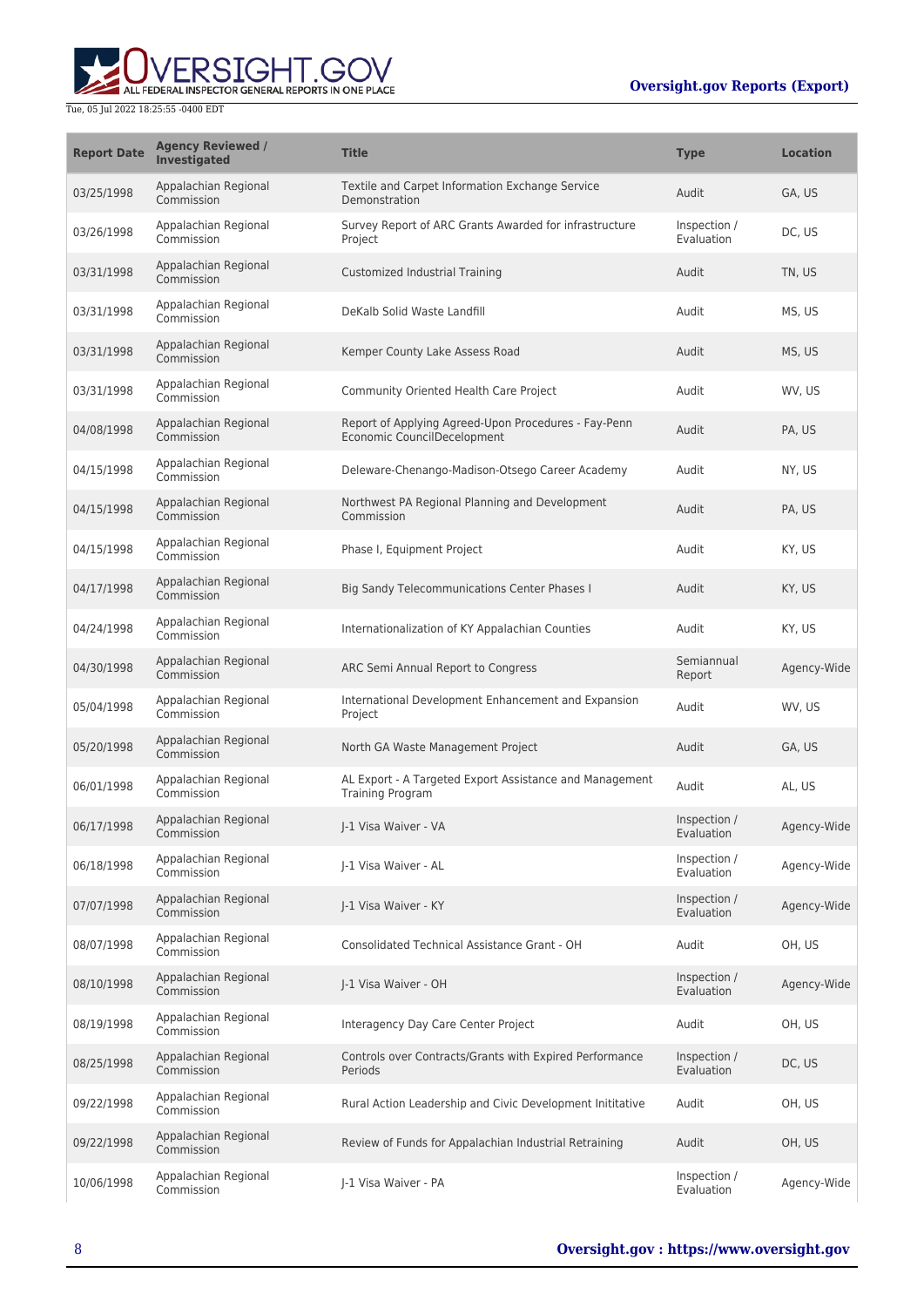the control of the control of the control of

۰



## Tue, 05 Jul 2022 18:25:55 -0400 EDT

 $\mathbf{r}$ 

| <b>Report Date</b> | <b>Agency Reviewed /</b><br><b>Investigated</b> | <b>Title</b>                                                                        | <b>Type</b>                | <b>Location</b> |
|--------------------|-------------------------------------------------|-------------------------------------------------------------------------------------|----------------------------|-----------------|
| 03/25/1998         | Appalachian Regional<br>Commission              | Textile and Carpet Information Exchange Service<br>Demonstration                    | Audit                      | GA, US          |
| 03/26/1998         | Appalachian Regional<br>Commission              | Survey Report of ARC Grants Awarded for infrastructure<br>Project                   | Inspection /<br>Evaluation | DC, US          |
| 03/31/1998         | Appalachian Regional<br>Commission              | Customized Industrial Training                                                      | Audit                      | TN, US          |
| 03/31/1998         | Appalachian Regional<br>Commission              | DeKalb Solid Waste Landfill                                                         | Audit                      | MS, US          |
| 03/31/1998         | Appalachian Regional<br>Commission              | Kemper County Lake Assess Road                                                      | Audit                      | MS, US          |
| 03/31/1998         | Appalachian Regional<br>Commission              | Community Oriented Health Care Project                                              | Audit                      | WV, US          |
| 04/08/1998         | Appalachian Regional<br>Commission              | Report of Applying Agreed-Upon Procedures - Fay-Penn<br>Economic CouncilDecelopment | Audit                      | PA, US          |
| 04/15/1998         | Appalachian Regional<br>Commission              | Deleware-Chenango-Madison-Otsego Career Academy                                     | Audit                      | NY, US          |
| 04/15/1998         | Appalachian Regional<br>Commission              | Northwest PA Regional Planning and Development<br>Commission                        | Audit                      | PA, US          |
| 04/15/1998         | Appalachian Regional<br>Commission              | Phase I, Equipment Project                                                          | Audit                      | KY, US          |
| 04/17/1998         | Appalachian Regional<br>Commission              | <b>Big Sandy Telecommunications Center Phases I</b>                                 | Audit                      | KY, US          |
| 04/24/1998         | Appalachian Regional<br>Commission              | Internationalization of KY Appalachian Counties                                     | Audit                      | KY, US          |
| 04/30/1998         | Appalachian Regional<br>Commission              | ARC Semi Annual Report to Congress                                                  | Semiannual<br>Report       | Agency-Wide     |
| 05/04/1998         | Appalachian Regional<br>Commission              | International Development Enhancement and Expansion<br>Project                      | Audit                      | WV, US          |
| 05/20/1998         | Appalachian Regional<br>Commission              | North GA Waste Management Project                                                   | Audit                      | GA, US          |
| 06/01/1998         | Appalachian Regional<br>Commission              | AL Export - A Targeted Export Assistance and Management<br><b>Training Program</b>  | Audit                      | AL, US          |
| 06/17/1998         | Appalachian Regional<br>Commission              | I-1 Visa Waiver - VA                                                                | Inspection /<br>Evaluation | Agency-Wide     |
| 06/18/1998         | Appalachian Regional<br>Commission              | J-1 Visa Waiver - AL                                                                | Inspection /<br>Evaluation | Agency-Wide     |
| 07/07/1998         | Appalachian Regional<br>Commission              | J-1 Visa Waiver - KY                                                                | Inspection /<br>Evaluation | Agency-Wide     |
| 08/07/1998         | Appalachian Regional<br>Commission              | Consolidated Technical Assistance Grant - OH                                        | Audit                      | OH, US          |
| 08/10/1998         | Appalachian Regional<br>Commission              | J-1 Visa Waiver - OH                                                                | Inspection /<br>Evaluation | Agency-Wide     |
| 08/19/1998         | Appalachian Regional<br>Commission              | Interagency Day Care Center Project                                                 | Audit                      | OH, US          |
| 08/25/1998         | Appalachian Regional<br>Commission              | Controls over Contracts/Grants with Expired Performance<br>Periods                  | Inspection /<br>Evaluation | DC, US          |
| 09/22/1998         | Appalachian Regional<br>Commission              | Rural Action Leadership and Civic Development Inititative                           | Audit                      | OH, US          |
| 09/22/1998         | Appalachian Regional<br>Commission              | Review of Funds for Appalachian Industrial Retraining                               | Audit                      | OH, US          |
| 10/06/1998         | Appalachian Regional<br>Commission              | J-1 Visa Waiver - PA                                                                | Inspection /<br>Evaluation | Agency-Wide     |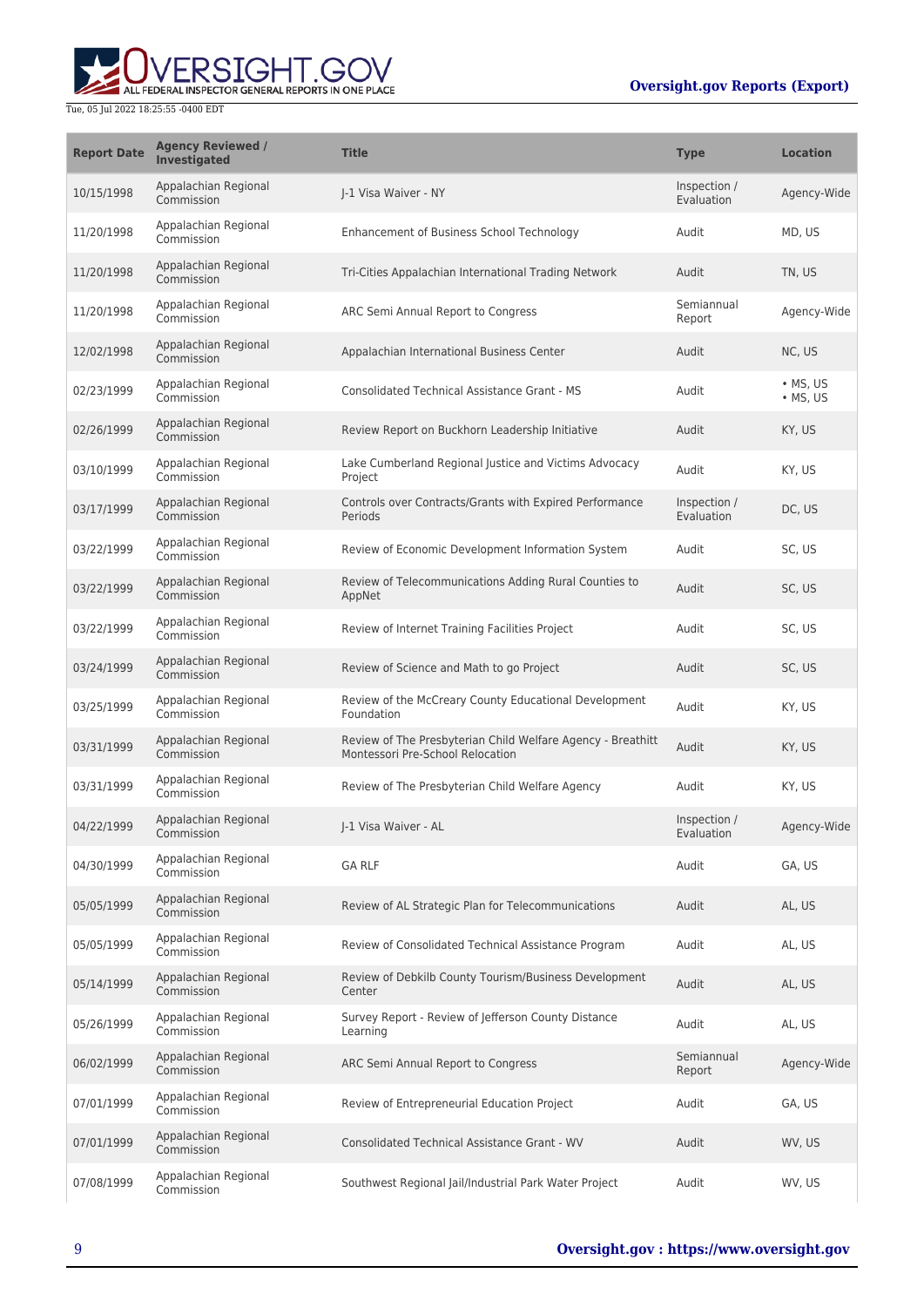

| <b>Report Date</b> | <b>Agency Reviewed /</b><br><b>Investigated</b> | <b>Title</b>                                                                                    | <b>Type</b>                | <b>Location</b>                    |
|--------------------|-------------------------------------------------|-------------------------------------------------------------------------------------------------|----------------------------|------------------------------------|
| 10/15/1998         | Appalachian Regional<br>Commission              | I-1 Visa Waiver - NY                                                                            | Inspection /<br>Evaluation | Agency-Wide                        |
| 11/20/1998         | Appalachian Regional<br>Commission              | Enhancement of Business School Technology                                                       | Audit                      | MD, US                             |
| 11/20/1998         | Appalachian Regional<br>Commission              | Tri-Cities Appalachian International Trading Network                                            | Audit                      | TN, US                             |
| 11/20/1998         | Appalachian Regional<br>Commission              | ARC Semi Annual Report to Congress                                                              | Semiannual<br>Report       | Agency-Wide                        |
| 12/02/1998         | Appalachian Regional<br>Commission              | Appalachian International Business Center                                                       | Audit                      | NC, US                             |
| 02/23/1999         | Appalachian Regional<br>Commission              | <b>Consolidated Technical Assistance Grant - MS</b>                                             | Audit                      | $\cdot$ MS, US<br>$\bullet$ MS, US |
| 02/26/1999         | Appalachian Regional<br>Commission              | Review Report on Buckhorn Leadership Initiative                                                 | Audit                      | KY, US                             |
| 03/10/1999         | Appalachian Regional<br>Commission              | Lake Cumberland Regional Justice and Victims Advocacy<br>Project                                | Audit                      | KY, US                             |
| 03/17/1999         | Appalachian Regional<br>Commission              | Controls over Contracts/Grants with Expired Performance<br>Periods                              | Inspection /<br>Evaluation | DC, US                             |
| 03/22/1999         | Appalachian Regional<br>Commission              | Review of Economic Development Information System                                               | Audit                      | SC, US                             |
| 03/22/1999         | Appalachian Regional<br>Commission              | Review of Telecommunications Adding Rural Counties to<br>AppNet                                 | Audit                      | SC, US                             |
| 03/22/1999         | Appalachian Regional<br>Commission              | Review of Internet Training Facilities Project                                                  | Audit                      | SC, US                             |
| 03/24/1999         | Appalachian Regional<br>Commission              | Review of Science and Math to go Project                                                        | Audit                      | SC, US                             |
| 03/25/1999         | Appalachian Regional<br>Commission              | Review of the McCreary County Educational Development<br>Foundation                             | Audit                      | KY, US                             |
| 03/31/1999         | Appalachian Regional<br>Commission              | Review of The Presbyterian Child Welfare Agency - Breathitt<br>Montessori Pre-School Relocation | Audit                      | KY, US                             |
| 03/31/1999         | Appalachian Regional<br>Commission              | Review of The Presbyterian Child Welfare Agency                                                 | Audit                      | KY, US                             |
| 04/22/1999         | Appalachian Regional<br>Commission              | J-1 Visa Waiver - AL                                                                            | Inspection /<br>Evaluation | Agency-Wide                        |
| 04/30/1999         | Appalachian Regional<br>Commission              | <b>GA RLF</b>                                                                                   | Audit                      | GA, US                             |
| 05/05/1999         | Appalachian Regional<br>Commission              | Review of AL Strategic Plan for Telecommunications                                              | Audit                      | AL, US                             |
| 05/05/1999         | Appalachian Regional<br>Commission              | Review of Consolidated Technical Assistance Program                                             | Audit                      | AL, US                             |
| 05/14/1999         | Appalachian Regional<br>Commission              | Review of Debkilb County Tourism/Business Development<br>Center                                 | Audit                      | AL, US                             |
| 05/26/1999         | Appalachian Regional<br>Commission              | Survey Report - Review of Jefferson County Distance<br>Learning                                 | Audit                      | AL, US                             |
| 06/02/1999         | Appalachian Regional<br>Commission              | ARC Semi Annual Report to Congress                                                              | Semiannual<br>Report       | Agency-Wide                        |
| 07/01/1999         | Appalachian Regional<br>Commission              | Review of Entrepreneurial Education Project                                                     | Audit                      | GA, US                             |
| 07/01/1999         | Appalachian Regional<br>Commission              | <b>Consolidated Technical Assistance Grant - WV</b>                                             | Audit                      | WV, US                             |
| 07/08/1999         | Appalachian Regional<br>Commission              | Southwest Regional Jail/Industrial Park Water Project                                           | Audit                      | WV, US                             |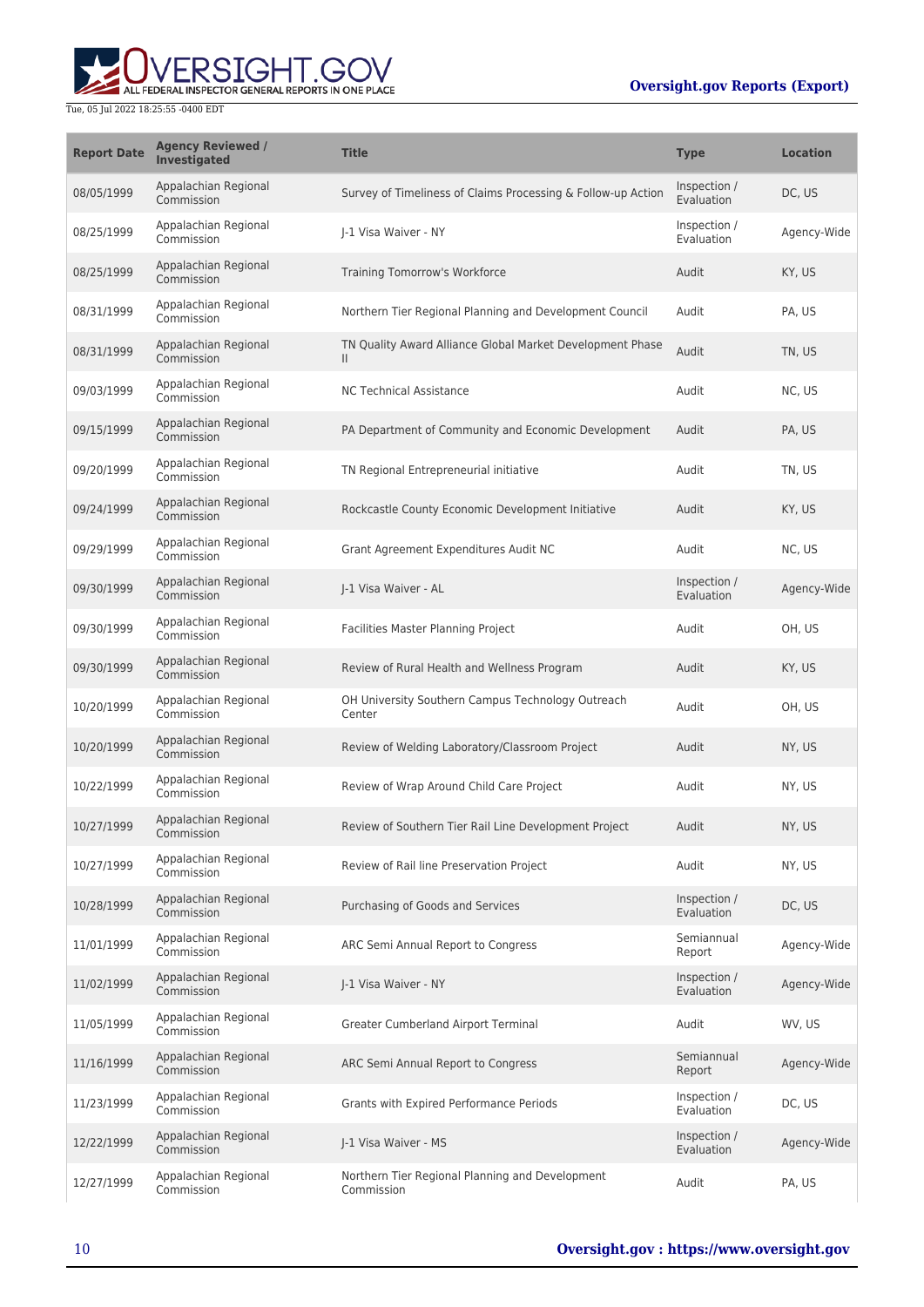

| <b>Report Date</b> | <b>Agency Reviewed /</b><br>Investigated | <b>Title</b>                                                              | <b>Type</b>                | <b>Location</b> |
|--------------------|------------------------------------------|---------------------------------------------------------------------------|----------------------------|-----------------|
| 08/05/1999         | Appalachian Regional<br>Commission       | Survey of Timeliness of Claims Processing & Follow-up Action              | Inspection /<br>Evaluation | DC, US          |
| 08/25/1999         | Appalachian Regional<br>Commission       | I-1 Visa Waiver - NY                                                      | Inspection /<br>Evaluation | Agency-Wide     |
| 08/25/1999         | Appalachian Regional<br>Commission       | Training Tomorrow's Workforce                                             | Audit                      | KY, US          |
| 08/31/1999         | Appalachian Regional<br>Commission       | Northern Tier Regional Planning and Development Council                   | Audit                      | PA, US          |
| 08/31/1999         | Appalachian Regional<br>Commission       | TN Quality Award Alliance Global Market Development Phase<br>$\mathbf{H}$ | Audit                      | TN, US          |
| 09/03/1999         | Appalachian Regional<br>Commission       | <b>NC Technical Assistance</b>                                            | Audit                      | NC, US          |
| 09/15/1999         | Appalachian Regional<br>Commission       | PA Department of Community and Economic Development                       | Audit                      | PA, US          |
| 09/20/1999         | Appalachian Regional<br>Commission       | TN Regional Entrepreneurial initiative                                    | Audit                      | TN, US          |
| 09/24/1999         | Appalachian Regional<br>Commission       | Rockcastle County Economic Development Initiative                         | Audit                      | KY, US          |
| 09/29/1999         | Appalachian Regional<br>Commission       | Grant Agreement Expenditures Audit NC                                     | Audit                      | NC, US          |
| 09/30/1999         | Appalachian Regional<br>Commission       | J-1 Visa Waiver - AL                                                      | Inspection /<br>Evaluation | Agency-Wide     |
| 09/30/1999         | Appalachian Regional<br>Commission       | Facilities Master Planning Project                                        | Audit                      | OH, US          |
| 09/30/1999         | Appalachian Regional<br>Commission       | Review of Rural Health and Wellness Program                               | Audit                      | KY, US          |
| 10/20/1999         | Appalachian Regional<br>Commission       | OH University Southern Campus Technology Outreach<br>Center               | Audit                      | OH, US          |
| 10/20/1999         | Appalachian Regional<br>Commission       | Review of Welding Laboratory/Classroom Project                            | Audit                      | NY, US          |
| 10/22/1999         | Appalachian Regional<br>Commission       | Review of Wrap Around Child Care Project                                  | Audit                      | NY, US          |
| 10/27/1999         | Appalachian Regional<br>Commission       | Review of Southern Tier Rail Line Development Project                     | Audit                      | NY, US          |
| 10/27/1999         | Appalachian Regional<br>Commission       | Review of Rail line Preservation Project                                  | Audit                      | NY, US          |
| 10/28/1999         | Appalachian Regional<br>Commission       | Purchasing of Goods and Services                                          | Inspection /<br>Evaluation | DC, US          |
| 11/01/1999         | Appalachian Regional<br>Commission       | ARC Semi Annual Report to Congress                                        | Semiannual<br>Report       | Agency-Wide     |
| 11/02/1999         | Appalachian Regional<br>Commission       | J-1 Visa Waiver - NY                                                      | Inspection /<br>Evaluation | Agency-Wide     |
| 11/05/1999         | Appalachian Regional<br>Commission       | <b>Greater Cumberland Airport Terminal</b>                                | Audit                      | WV. US          |
| 11/16/1999         | Appalachian Regional<br>Commission       | ARC Semi Annual Report to Congress                                        | Semiannual<br>Report       | Agency-Wide     |
| 11/23/1999         | Appalachian Regional<br>Commission       | Grants with Expired Performance Periods                                   | Inspection /<br>Evaluation | DC, US          |
| 12/22/1999         | Appalachian Regional<br>Commission       | J-1 Visa Waiver - MS                                                      | Inspection /<br>Evaluation | Agency-Wide     |
| 12/27/1999         | Appalachian Regional<br>Commission       | Northern Tier Regional Planning and Development<br>Commission             | Audit                      | PA, US          |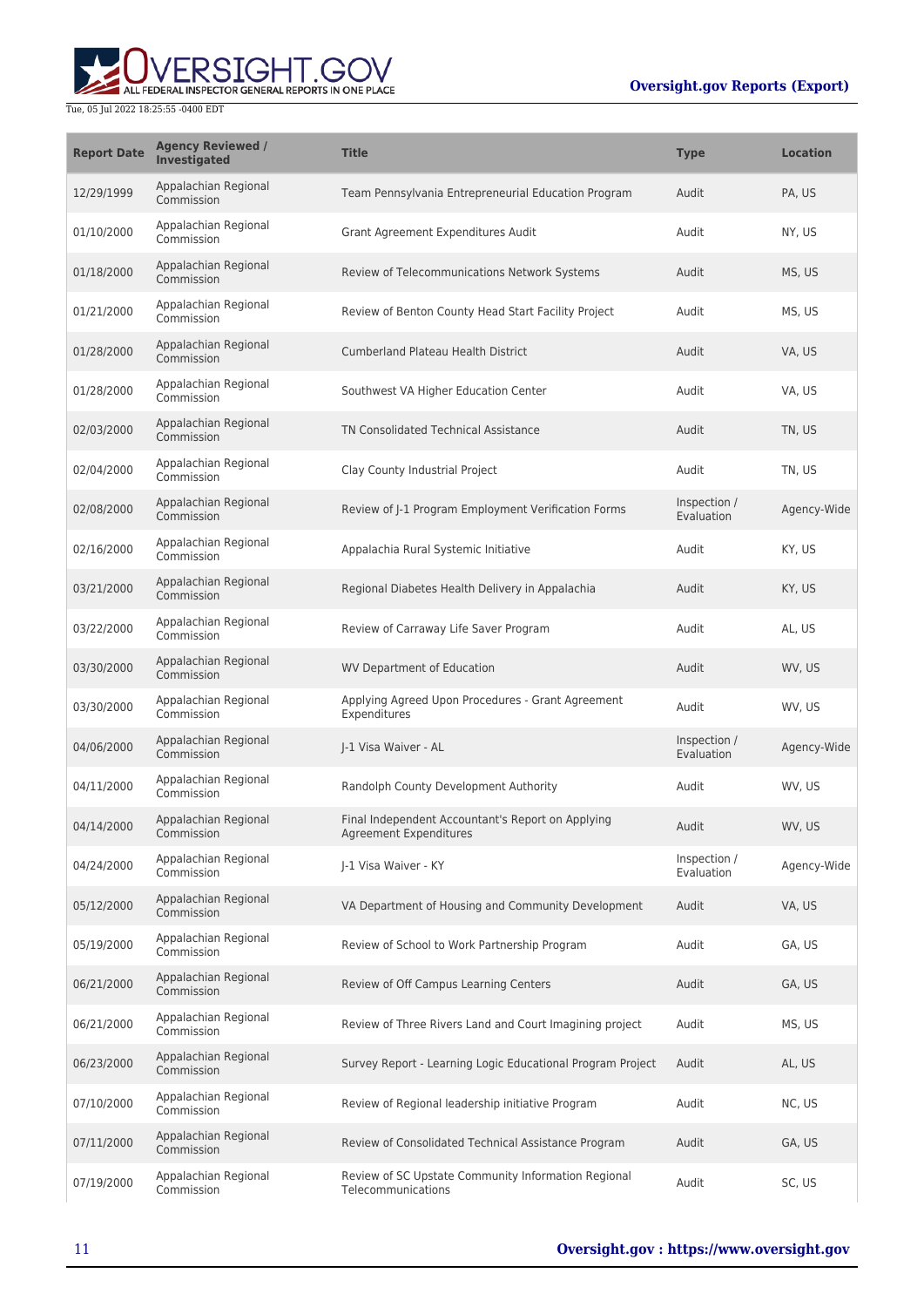| <b>Report Date</b> | <b>Agency Reviewed /</b><br><b>Investigated</b> | <b>Title</b>                                                                | Type                       | <b>Location</b> |
|--------------------|-------------------------------------------------|-----------------------------------------------------------------------------|----------------------------|-----------------|
| 12/29/1999         | Appalachian Regional<br>Commission              | Team Pennsylvania Entrepreneurial Education Program                         | Audit                      | PA, US          |
| 01/10/2000         | Appalachian Regional<br>Commission              | Grant Agreement Expenditures Audit                                          | Audit                      | NY, US          |
| 01/18/2000         | Appalachian Regional<br>Commission              | Review of Telecommunications Network Systems                                | Audit                      | MS, US          |
| 01/21/2000         | Appalachian Regional<br>Commission              | Review of Benton County Head Start Facility Project                         | Audit                      | MS, US          |
| 01/28/2000         | Appalachian Regional<br>Commission              | <b>Cumberland Plateau Health District</b>                                   | Audit                      | VA, US          |
| 01/28/2000         | Appalachian Regional<br>Commission              | Southwest VA Higher Education Center                                        | Audit                      | VA, US          |
| 02/03/2000         | Appalachian Regional<br>Commission              | <b>TN Consolidated Technical Assistance</b>                                 | Audit                      | TN, US          |
| 02/04/2000         | Appalachian Regional<br>Commission              | Clay County Industrial Project                                              | Audit                      | TN, US          |
| 02/08/2000         | Appalachian Regional<br>Commission              | Review of J-1 Program Employment Verification Forms                         | Inspection /<br>Evaluation | Agency-Wide     |
| 02/16/2000         | Appalachian Regional<br>Commission              | Appalachia Rural Systemic Initiative                                        | Audit                      | KY, US          |
| 03/21/2000         | Appalachian Regional<br>Commission              | Regional Diabetes Health Delivery in Appalachia                             | Audit                      | KY, US          |
| 03/22/2000         | Appalachian Regional<br>Commission              | Review of Carraway Life Saver Program                                       | Audit                      | AL, US          |
| 03/30/2000         | Appalachian Regional<br>Commission              | <b>WV Department of Education</b>                                           | Audit                      | WV, US          |
| 03/30/2000         | Appalachian Regional<br>Commission              | Applying Agreed Upon Procedures - Grant Agreement<br>Expenditures           | Audit                      | WV, US          |
| 04/06/2000         | Appalachian Regional<br>Commission              | I-1 Visa Waiver - AL                                                        | Inspection /<br>Evaluation | Agency-Wide     |
| 04/11/2000         | Appalachian Regional<br>Commission              | Randolph County Development Authority                                       | Audit                      | WV, US          |
| 04/14/2000         | Appalachian Regional<br>Commission              | Final Independent Accountant's Report on Applying<br>Agreement Expenditures | Audit                      | WV, US          |
| 04/24/2000         | Appalachian Regional<br>Commission              | J-1 Visa Waiver - KY                                                        | Inspection /<br>Evaluation | Agency-Wide     |
| 05/12/2000         | Appalachian Regional<br>Commission              | VA Department of Housing and Community Development                          | Audit                      | VA, US          |
| 05/19/2000         | Appalachian Regional<br>Commission              | Review of School to Work Partnership Program                                | Audit                      | GA, US          |
| 06/21/2000         | Appalachian Regional<br>Commission              | Review of Off Campus Learning Centers                                       | Audit                      | GA, US          |
| 06/21/2000         | Appalachian Regional<br>Commission              | Review of Three Rivers Land and Court Imagining project                     | Audit                      | MS, US          |
| 06/23/2000         | Appalachian Regional<br>Commission              | Survey Report - Learning Logic Educational Program Project                  | Audit                      | AL, US          |
| 07/10/2000         | Appalachian Regional<br>Commission              | Review of Regional leadership initiative Program                            | Audit                      | NC, US          |
| 07/11/2000         | Appalachian Regional<br>Commission              | Review of Consolidated Technical Assistance Program                         | Audit                      | GA, US          |
| 07/19/2000         | Appalachian Regional<br>Commission              | Review of SC Upstate Community Information Regional<br>Telecommunications   | Audit                      | SC, US          |